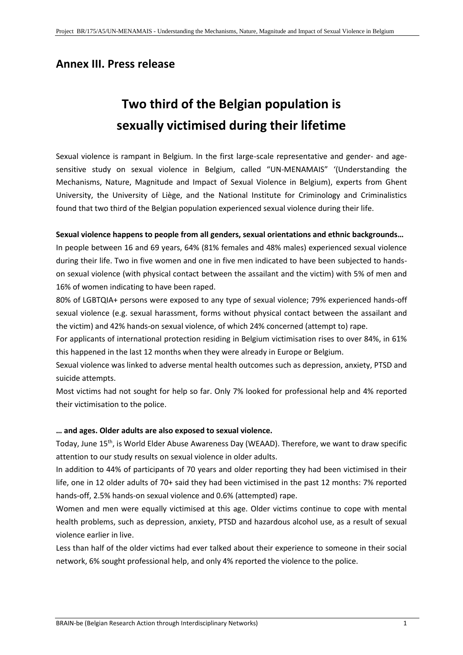# **Annex III. Press release**

# **Two third of the Belgian population is sexually victimised during their lifetime**

Sexual violence is rampant in Belgium. In the first large-scale representative and gender- and agesensitive study on sexual violence in Belgium, called "UN-MENAMAIS" '(Understanding the Mechanisms, Nature, Magnitude and Impact of Sexual Violence in Belgium), experts from Ghent University, the University of Liège, and the National Institute for Criminology and Criminalistics found that two third of the Belgian population experienced sexual violence during their life.

### **Sexual violence happens to people from all genders, sexual orientations and ethnic backgrounds…**

In people between 16 and 69 years, 64% (81% females and 48% males) experienced sexual violence during their life. Two in five women and one in five men indicated to have been subjected to handson sexual violence (with physical contact between the assailant and the victim) with 5% of men and 16% of women indicating to have been raped.

80% of LGBTQIA+ persons were exposed to any type of sexual violence; 79% experienced hands-off sexual violence (e.g. sexual harassment, forms without physical contact between the assailant and the victim) and 42% hands-on sexual violence, of which 24% concerned (attempt to) rape.

For applicants of international protection residing in Belgium victimisation rises to over 84%, in 61% this happened in the last 12 months when they were already in Europe or Belgium.

Sexual violence was linked to adverse mental health outcomes such as depression, anxiety, PTSD and suicide attempts.

Most victims had not sought for help so far. Only 7% looked for professional help and 4% reported their victimisation to the police.

### **… and ages. Older adults are also exposed to sexual violence.**

Today, June 15<sup>th</sup>, is World Elder Abuse Awareness Day (WEAAD). Therefore, we want to draw specific attention to our study results on sexual violence in older adults.

In addition to 44% of participants of 70 years and older reporting they had been victimised in their life, one in 12 older adults of 70+ said they had been victimised in the past 12 months: 7% reported hands-off, 2.5% hands-on sexual violence and 0.6% (attempted) rape.

Women and men were equally victimised at this age. Older victims continue to cope with mental health problems, such as depression, anxiety, PTSD and hazardous alcohol use, as a result of sexual violence earlier in live.

Less than half of the older victims had ever talked about their experience to someone in their social network, 6% sought professional help, and only 4% reported the violence to the police.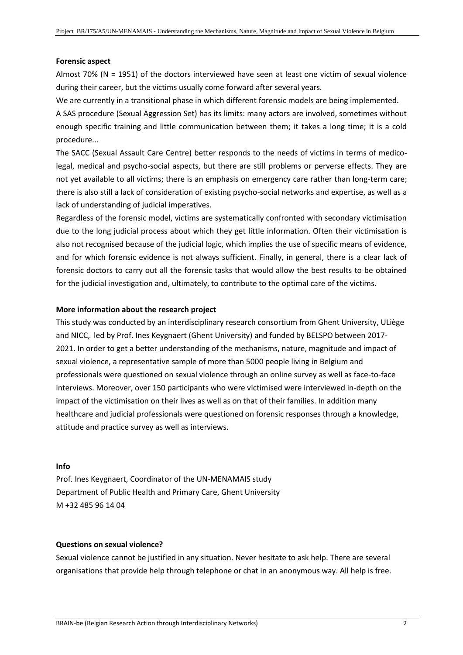#### **Forensic aspect**

Almost 70% (N = 1951) of the doctors interviewed have seen at least one victim of sexual violence during their career, but the victims usually come forward after several years.

We are currently in a transitional phase in which different forensic models are being implemented.

A SAS procedure (Sexual Aggression Set) has its limits: many actors are involved, sometimes without enough specific training and little communication between them; it takes a long time; it is a cold procedure...

The SACC (Sexual Assault Care Centre) better responds to the needs of victims in terms of medicolegal, medical and psycho-social aspects, but there are still problems or perverse effects. They are not yet available to all victims; there is an emphasis on emergency care rather than long-term care; there is also still a lack of consideration of existing psycho-social networks and expertise, as well as a lack of understanding of judicial imperatives.

Regardless of the forensic model, victims are systematically confronted with secondary victimisation due to the long judicial process about which they get little information. Often their victimisation is also not recognised because of the judicial logic, which implies the use of specific means of evidence, and for which forensic evidence is not always sufficient. Finally, in general, there is a clear lack of forensic doctors to carry out all the forensic tasks that would allow the best results to be obtained for the judicial investigation and, ultimately, to contribute to the optimal care of the victims.

#### **More information about the research project**

This study was conducted by an interdisciplinary research consortium from Ghent University, ULiège and NICC, led by Prof. Ines Keygnaert (Ghent University) and funded by BELSPO between 2017- 2021. In order to get a better understanding of the mechanisms, nature, magnitude and impact of sexual violence, a representative sample of more than 5000 people living in Belgium and professionals were questioned on sexual violence through an online survey as well as face-to-face interviews. Moreover, over 150 participants who were victimised were interviewed in-depth on the impact of the victimisation on their lives as well as on that of their families. In addition many healthcare and judicial professionals were questioned on forensic responses through a knowledge, attitude and practice survey as well as interviews.

#### **Info**

Prof. Ines Keygnaert, Coordinator of the UN-MENAMAIS study Department of Public Health and Primary Care, Ghent University M +32 485 96 14 04

### **Questions on sexual violence?**

Sexual violence cannot be justified in any situation. Never hesitate to ask help. There are several organisations that provide help through telephone or chat in an anonymous way. All help is free.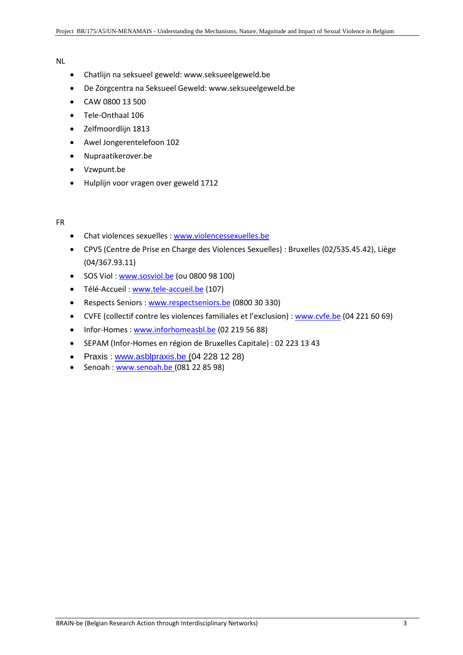#### NL

- Chatlijn na seksueel geweld: www.seksueelgeweld.be
- De Zorgcentra na Seksueel Geweld: www.seksueelgeweld.be
- CAW 0800 13 500
- Tele-Onthaal 106
- Zelfmoordlijn 1813
- Awel Jongerentelefoon 102
- Nupraatikerover.be
- Vzwpunt.be
- Hulplijn voor vragen over geweld 1712

### FR

- Chat violences sexuelles [: www.violencessexuelles.be](http://www.violencessexuelles.be/)
- CPVS (Centre de Prise en Charge des Violences Sexuelles) : Bruxelles (02/535.45.42), Liège (04/367.93.11)
- SOS Viol : [www.sosviol.be](http://www.sosviol.be/) (ou 0800 98 100)
- Télé-Accueil : [www.tele-accueil.be](http://www.tele-accueil.be/) (107)
- Respects Seniors : [www.respectseniors.be](http://www.respectseniors.be/) (0800 30 330)
- CVFE (collectif contre les violences familiales et l'exclusion) : [www.cvfe.be](http://www.cvfe.be/) (04 221 60 69)
- Infor-Homes : [www.inforhomeasbl.be](http://www.inforhomeasbl.be/) (02 219 56 88)
- SEPAM (Infor-Homes en région de Bruxelles Capitale) : 02 223 13 43
- Praxis: [www.asblpraxis.be](http://www.asblpraxis.be/) (04 228 12 28)
- Senoah : [www.senoah.be](http://www.senoah.be/) (081 22 85 98)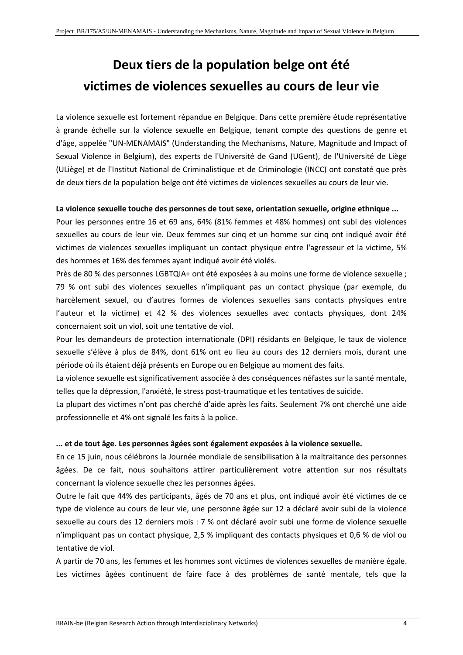# **Deux tiers de la population belge ont été victimes de violences sexuelles au cours de leur vie**

La violence sexuelle est fortement répandue en Belgique. Dans cette première étude représentative à grande échelle sur la violence sexuelle en Belgique, tenant compte des questions de genre et d'âge, appelée "UN-MENAMAIS" (Understanding the Mechanisms, Nature, Magnitude and Impact of Sexual Violence in Belgium), des experts de l'Université de Gand (UGent), de l'Université de Liège (ULiège) et de l'Institut National de Criminalistique et de Criminologie (INCC) ont constaté que près de deux tiers de la population belge ont été victimes de violences sexuelles au cours de leur vie.

### **La violence sexuelle touche des personnes de tout sexe, orientation sexuelle, origine ethnique ...**

Pour les personnes entre 16 et 69 ans, 64% (81% femmes et 48% hommes) ont subi des violences sexuelles au cours de leur vie. Deux femmes sur cinq et un homme sur cinq ont indiqué avoir été victimes de violences sexuelles impliquant un contact physique entre l'agresseur et la victime, 5% des hommes et 16% des femmes ayant indiqué avoir été violés.

Près de 80 % des personnes LGBTQIA+ ont été exposées à au moins une forme de violence sexuelle ; 79 % ont subi des violences sexuelles n'impliquant pas un contact physique (par exemple, du harcèlement sexuel, ou d'autres formes de violences sexuelles sans contacts physiques entre l'auteur et la victime) et 42 % des violences sexuelles avec contacts physiques, dont 24% concernaient soit un viol, soit une tentative de viol.

Pour les demandeurs de protection internationale (DPI) résidants en Belgique, le taux de violence sexuelle s'élève à plus de 84%, dont 61% ont eu lieu au cours des 12 derniers mois, durant une période où ils étaient déjà présents en Europe ou en Belgique au moment des faits.

La violence sexuelle est significativement associée à des conséquences néfastes sur la santé mentale, telles que la dépression, l'anxiété, le stress post-traumatique et les tentatives de suicide.

La plupart des victimes n'ont pas cherché d'aide après les faits. Seulement 7% ont cherché une aide professionnelle et 4% ont signalé les faits à la police.

### **... et de tout âge. Les personnes âgées sont également exposées à la violence sexuelle.**

En ce 15 juin, nous célébrons la Journée mondiale de sensibilisation à la maltraitance des personnes âgées. De ce fait, nous souhaitons attirer particulièrement votre attention sur nos résultats concernant la violence sexuelle chez les personnes âgées.

Outre le fait que 44% des participants, âgés de 70 ans et plus, ont indiqué avoir été victimes de ce type de violence au cours de leur vie, une personne âgée sur 12 a déclaré avoir subi de la violence sexuelle au cours des 12 derniers mois : 7 % ont déclaré avoir subi une forme de violence sexuelle n'impliquant pas un contact physique, 2,5 % impliquant des contacts physiques et 0,6 % de viol ou tentative de viol.

A partir de 70 ans, les femmes et les hommes sont victimes de violences sexuelles de manière égale. Les victimes âgées continuent de faire face à des problèmes de santé mentale, tels que la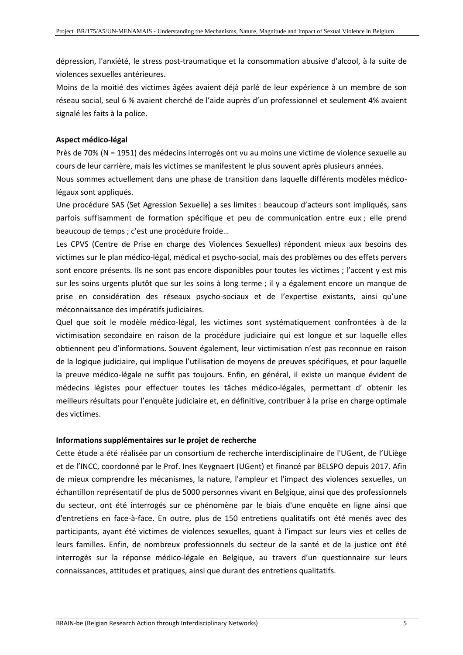dépression, l'anxiété, le stress post-traumatique et la consommation abusive d'alcool, à la suite de violences sexuelles antérieures.

Moins de la moitié des victimes âgées avaient déjà parlé de leur expérience à un membre de son réseau social, seul 6 % avaient cherché de l'aide auprès d'un professionnel et seulement 4% avaient signalé les faits à la police.

# **Aspect médico-légal**

Près de 70% (N = 1951) des médecins interrogés ont vu au moins une victime de violence sexuelle au cours de leur carrière, mais les victimes se manifestent le plus souvent après plusieurs années.

Nous sommes actuellement dans une phase de transition dans laquelle différents modèles médicolégaux sont appliqués.

Une procédure SAS (Set Agression Sexuelle) a ses limites : beaucoup d'acteurs sont impliqués, sans parfois suffisamment de formation spécifique et peu de communication entre eux ; elle prend beaucoup de temps ; c'est une procédure froide…

Les CPVS (Centre de Prise en charge des Violences Sexuelles) répondent mieux aux besoins des victimes sur le plan médico-légal, médical et psycho-social, mais des problèmes ou des effets pervers sont encore présents. Ils ne sont pas encore disponibles pour toutes les victimes ; l'accent y est mis sur les soins urgents plutôt que sur les soins à long terme ; il y a également encore un manque de prise en considération des réseaux psycho-sociaux et de l'expertise existants, ainsi qu'une méconnaissance des impératifs judiciaires.

Quel que soit le modèle médico-légal, les victimes sont systématiquement confrontées à de la victimisation secondaire en raison de la procédure judiciaire qui est longue et sur laquelle elles obtiennent peu d'informations. Souvent également, leur victimisation n'est pas reconnue en raison de la logique judiciaire, qui implique l'utilisation de moyens de preuves spécifiques, et pour laquelle la preuve médico-légale ne suffit pas toujours. Enfin, en général, il existe un manque évident de médecins légistes pour effectuer toutes les tâches médico-légales, permettant d' obtenir les meilleurs résultats pour l'enquête judiciaire et, en définitive, contribuer à la prise en charge optimale des victimes.

### **Informations supplémentaires sur le projet de recherche**

Cette étude a été réalisée par un consortium de recherche interdisciplinaire de l'UGent, de l'ULiège et de l'INCC, coordonné par le Prof. Ines Keygnaert (UGent) et financé par BELSPO depuis 2017. Afin de mieux comprendre les mécanismes, la nature, l'ampleur et l'impact des violences sexuelles, un échantillon représentatif de plus de 5000 personnes vivant en Belgique, ainsi que des professionnels du secteur, ont été interrogés sur ce phénomène par le biais d'une enquête en ligne ainsi que d'entretiens en face-à-face. En outre, plus de 150 entretiens qualitatifs ont été menés avec des participants, ayant été victimes de violences sexuelles, quant à l'impact sur leurs vies et celles de leurs familles. Enfin, de nombreux professionnels du secteur de la santé et de la justice ont été interrogés sur la réponse médico-légale en Belgique, au travers d'un questionnaire sur leurs connaissances, attitudes et pratiques, ainsi que durant des entretiens qualitatifs.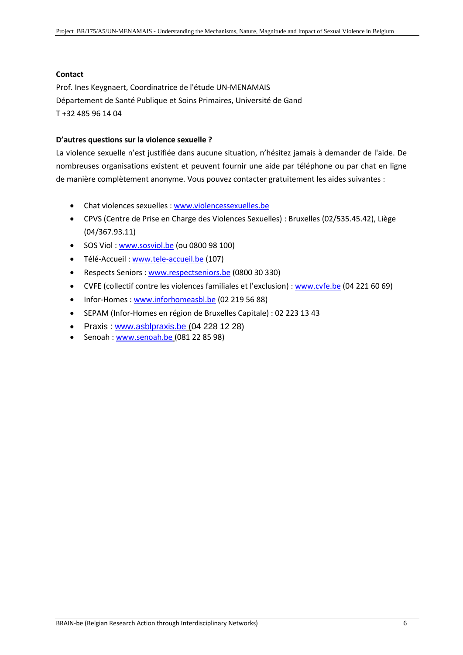### **Contact**

Prof. Ines Keygnaert, Coordinatrice de l'étude UN-MENAMAIS Département de Santé Publique et Soins Primaires, Université de Gand T +32 485 96 14 04

# **D'autres questions sur la violence sexuelle ?**

La violence sexuelle n'est justifiée dans aucune situation, n'hésitez jamais à demander de l'aide. De nombreuses organisations existent et peuvent fournir une aide par téléphone ou par chat en ligne de manière complètement anonyme. Vous pouvez contacter gratuitement les aides suivantes :

- Chat violences sexuelles [: www.violencessexuelles.be](http://www.violencessexuelles.be/)
- CPVS (Centre de Prise en Charge des Violences Sexuelles) : Bruxelles (02/535.45.42), Liège (04/367.93.11)
- SOS Viol : [www.sosviol.be](http://www.sosviol.be/) (ou 0800 98 100)
- Télé-Accueil : [www.tele-accueil.be](http://www.tele-accueil.be/) (107)
- Respects Seniors : [www.respectseniors.be](http://www.respectseniors.be/) (0800 30 330)
- CVFE (collectif contre les violences familiales et l'exclusion) : [www.cvfe.be](http://www.cvfe.be/) (04 221 60 69)
- Infor-Homes: [www.inforhomeasbl.be](http://www.inforhomeasbl.be/) (02 219 56 88)
- SEPAM (Infor-Homes en région de Bruxelles Capitale) : 02 223 13 43
- Praxis : [www.asblpraxis.be](http://www.asblpraxis.be/) (04 228 12 28)
- Senoah : [www.senoah.be](http://www.senoah.be/) (081 22 85 98)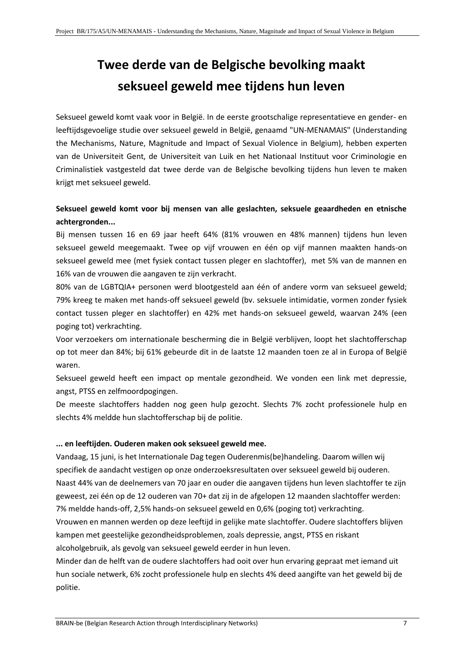# **Twee derde van de Belgische bevolking maakt seksueel geweld mee tijdens hun leven**

Seksueel geweld komt vaak voor in België. In de eerste grootschalige representatieve en gender- en leeftijdsgevoelige studie over seksueel geweld in België, genaamd "UN-MENAMAIS" (Understanding the Mechanisms, Nature, Magnitude and Impact of Sexual Violence in Belgium), hebben experten van de Universiteit Gent, de Universiteit van Luik en het Nationaal Instituut voor Criminologie en Criminalistiek vastgesteld dat twee derde van de Belgische bevolking tijdens hun leven te maken krijgt met seksueel geweld.

# **Seksueel geweld komt voor bij mensen van alle geslachten, seksuele geaardheden en etnische achtergronden...**

Bij mensen tussen 16 en 69 jaar heeft 64% (81% vrouwen en 48% mannen) tijdens hun leven seksueel geweld meegemaakt. Twee op vijf vrouwen en één op vijf mannen maakten hands-on seksueel geweld mee (met fysiek contact tussen pleger en slachtoffer), met 5% van de mannen en 16% van de vrouwen die aangaven te zijn verkracht.

80% van de LGBTQIA+ personen werd blootgesteld aan één of andere vorm van seksueel geweld; 79% kreeg te maken met hands-off seksueel geweld (bv. seksuele intimidatie, vormen zonder fysiek contact tussen pleger en slachtoffer) en 42% met hands-on seksueel geweld, waarvan 24% (een poging tot) verkrachting.

Voor verzoekers om internationale bescherming die in België verblijven, loopt het slachtofferschap op tot meer dan 84%; bij 61% gebeurde dit in de laatste 12 maanden toen ze al in Europa of België waren.

Seksueel geweld heeft een impact op mentale gezondheid. We vonden een link met depressie, angst, PTSS en zelfmoordpogingen.

De meeste slachtoffers hadden nog geen hulp gezocht. Slechts 7% zocht professionele hulp en slechts 4% meldde hun slachtofferschap bij de politie.

# **... en leeftijden. Ouderen maken ook seksueel geweld mee.**

Vandaag, 15 juni, is het Internationale Dag tegen Ouderenmis(be)handeling. Daarom willen wij specifiek de aandacht vestigen op onze onderzoeksresultaten over seksueel geweld bij ouderen. Naast 44% van de deelnemers van 70 jaar en ouder die aangaven tijdens hun leven slachtoffer te zijn geweest, zei één op de 12 ouderen van 70+ dat zij in de afgelopen 12 maanden slachtoffer werden: 7% meldde hands-off, 2,5% hands-on seksueel geweld en 0,6% (poging tot) verkrachting. Vrouwen en mannen werden op deze leeftijd in gelijke mate slachtoffer. Oudere slachtoffers blijven kampen met geestelijke gezondheidsproblemen, zoals depressie, angst, PTSS en riskant

alcoholgebruik, als gevolg van seksueel geweld eerder in hun leven.

Minder dan de helft van de oudere slachtoffers had ooit over hun ervaring gepraat met iemand uit hun sociale netwerk, 6% zocht professionele hulp en slechts 4% deed aangifte van het geweld bij de politie.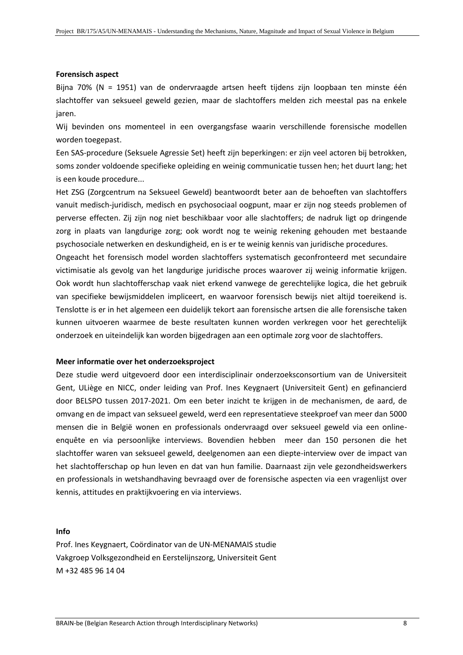#### **Forensisch aspect**

Bijna 70% (N = 1951) van de ondervraagde artsen heeft tijdens zijn loopbaan ten minste één slachtoffer van seksueel geweld gezien, maar de slachtoffers melden zich meestal pas na enkele jaren.

Wij bevinden ons momenteel in een overgangsfase waarin verschillende forensische modellen worden toegepast.

Een SAS-procedure (Seksuele Agressie Set) heeft zijn beperkingen: er zijn veel actoren bij betrokken, soms zonder voldoende specifieke opleiding en weinig communicatie tussen hen; het duurt lang; het is een koude procedure...

Het ZSG (Zorgcentrum na Seksueel Geweld) beantwoordt beter aan de behoeften van slachtoffers vanuit medisch-juridisch, medisch en psychosociaal oogpunt, maar er zijn nog steeds problemen of perverse effecten. Zij zijn nog niet beschikbaar voor alle slachtoffers; de nadruk ligt op dringende zorg in plaats van langdurige zorg; ook wordt nog te weinig rekening gehouden met bestaande psychosociale netwerken en deskundigheid, en is er te weinig kennis van juridische procedures.

Ongeacht het forensisch model worden slachtoffers systematisch geconfronteerd met secundaire victimisatie als gevolg van het langdurige juridische proces waarover zij weinig informatie krijgen. Ook wordt hun slachtofferschap vaak niet erkend vanwege de gerechtelijke logica, die het gebruik van specifieke bewijsmiddelen impliceert, en waarvoor forensisch bewijs niet altijd toereikend is. Tenslotte is er in het algemeen een duidelijk tekort aan forensische artsen die alle forensische taken kunnen uitvoeren waarmee de beste resultaten kunnen worden verkregen voor het gerechtelijk onderzoek en uiteindelijk kan worden bijgedragen aan een optimale zorg voor de slachtoffers.

#### **Meer informatie over het onderzoeksproject**

Deze studie werd uitgevoerd door een interdisciplinair onderzoeksconsortium van de Universiteit Gent, ULiège en NICC, onder leiding van Prof. Ines Keygnaert (Universiteit Gent) en gefinancierd door BELSPO tussen 2017-2021. Om een beter inzicht te krijgen in de mechanismen, de aard, de omvang en de impact van seksueel geweld, werd een representatieve steekproef van meer dan 5000 mensen die in België wonen en professionals ondervraagd over seksueel geweld via een onlineenquête en via persoonlijke interviews. Bovendien hebben meer dan 150 personen die het slachtoffer waren van seksueel geweld, deelgenomen aan een diepte-interview over de impact van het slachtofferschap op hun leven en dat van hun familie. Daarnaast zijn vele gezondheidswerkers en professionals in wetshandhaving bevraagd over de forensische aspecten via een vragenlijst over kennis, attitudes en praktijkvoering en via interviews.

#### **Info**

Prof. Ines Keygnaert, Coördinator van de UN-MENAMAIS studie Vakgroep Volksgezondheid en Eerstelijnszorg, Universiteit Gent M +32 485 96 14 04